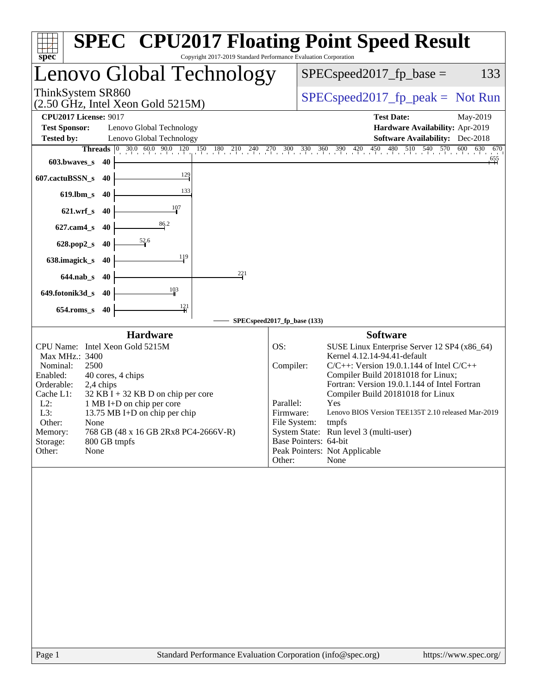| Copyright 2017-2019 Standard Performance Evaluation Corporation<br>spec <sup>®</sup>                                                                                                                                                                                                                                                                                                                        | <b>SPEC<sup>®</sup> CPU2017 Floating Point Speed Result</b>                                                                                                                                                                                                                                                                                                                                                                                                                                                                        |
|-------------------------------------------------------------------------------------------------------------------------------------------------------------------------------------------------------------------------------------------------------------------------------------------------------------------------------------------------------------------------------------------------------------|------------------------------------------------------------------------------------------------------------------------------------------------------------------------------------------------------------------------------------------------------------------------------------------------------------------------------------------------------------------------------------------------------------------------------------------------------------------------------------------------------------------------------------|
| Lenovo Global Technology                                                                                                                                                                                                                                                                                                                                                                                    | $SPEC speed2017_fp\_base =$<br>133                                                                                                                                                                                                                                                                                                                                                                                                                                                                                                 |
| ThinkSystem SR860<br>$(2.50 \text{ GHz}, \text{Intel Xeon Gold } 5215 \text{M})$                                                                                                                                                                                                                                                                                                                            | $SPEC speed2017_fp\_peak = Not Run$                                                                                                                                                                                                                                                                                                                                                                                                                                                                                                |
| <b>CPU2017 License: 9017</b><br><b>Test Sponsor:</b><br>Lenovo Global Technology<br><b>Tested by:</b><br>Lenovo Global Technology                                                                                                                                                                                                                                                                           | <b>Test Date:</b><br>May-2019<br>Hardware Availability: Apr-2019<br><b>Software Availability:</b> Dec-2018                                                                                                                                                                                                                                                                                                                                                                                                                         |
| 603.bwayes_s<br>40                                                                                                                                                                                                                                                                                                                                                                                          | Threads 0 30.0 60.0 90.0 120 150 180 210 240 270 300 330 360 390 420 450 480 510 540 570 600 630 670<br>670                                                                                                                                                                                                                                                                                                                                                                                                                        |
| $\frac{129}{2}$<br>607.cactuBSSN_s<br>40                                                                                                                                                                                                                                                                                                                                                                    |                                                                                                                                                                                                                                                                                                                                                                                                                                                                                                                                    |
| 133<br>619.lbm_s 40                                                                                                                                                                                                                                                                                                                                                                                         |                                                                                                                                                                                                                                                                                                                                                                                                                                                                                                                                    |
| 621.wrf_s 40                                                                                                                                                                                                                                                                                                                                                                                                |                                                                                                                                                                                                                                                                                                                                                                                                                                                                                                                                    |
| 86.2<br>627.cam4_s 40                                                                                                                                                                                                                                                                                                                                                                                       |                                                                                                                                                                                                                                                                                                                                                                                                                                                                                                                                    |
| 628.pop2_s 40<br>119                                                                                                                                                                                                                                                                                                                                                                                        |                                                                                                                                                                                                                                                                                                                                                                                                                                                                                                                                    |
| 638.imagick_s<br>-40<br>221                                                                                                                                                                                                                                                                                                                                                                                 |                                                                                                                                                                                                                                                                                                                                                                                                                                                                                                                                    |
| 644.nab_s 40<br>$\frac{103}{2}$                                                                                                                                                                                                                                                                                                                                                                             |                                                                                                                                                                                                                                                                                                                                                                                                                                                                                                                                    |
| 649.fotonik3d_s 40<br>$\frac{121}{1}$<br>$654$ .roms_s<br>40                                                                                                                                                                                                                                                                                                                                                |                                                                                                                                                                                                                                                                                                                                                                                                                                                                                                                                    |
|                                                                                                                                                                                                                                                                                                                                                                                                             | SPECspeed2017_fp_base (133)                                                                                                                                                                                                                                                                                                                                                                                                                                                                                                        |
| <b>Hardware</b><br>CPU Name: Intel Xeon Gold 5215M<br>Max MHz.: 3400<br>Nominal:<br>2500<br>Enabled:<br>40 cores, 4 chips<br>Orderable:<br>2,4 chips<br>Cache L1:<br>$32$ KB I + 32 KB D on chip per core<br>$L2$ :<br>1 MB I+D on chip per core<br>L3:<br>13.75 MB I+D on chip per chip<br>Other:<br>None<br>768 GB (48 x 16 GB 2Rx8 PC4-2666V-R)<br>Memory:<br>800 GB tmpfs<br>Storage:<br>None<br>Other: | <b>Software</b><br>OS:<br>SUSE Linux Enterprise Server 12 SP4 (x86_64)<br>Kernel 4.12.14-94.41-default<br>Compiler:<br>$C/C++$ : Version 19.0.1.144 of Intel $C/C++$<br>Compiler Build 20181018 for Linux;<br>Fortran: Version 19.0.1.144 of Intel Fortran<br>Compiler Build 20181018 for Linux<br>Parallel:<br>Yes<br>Lenovo BIOS Version TEE135T 2.10 released Mar-2019<br>Firmware:<br>File System: tmpfs<br>System State: Run level 3 (multi-user)<br>Base Pointers: 64-bit<br>Peak Pointers: Not Applicable<br>Other:<br>None |
|                                                                                                                                                                                                                                                                                                                                                                                                             |                                                                                                                                                                                                                                                                                                                                                                                                                                                                                                                                    |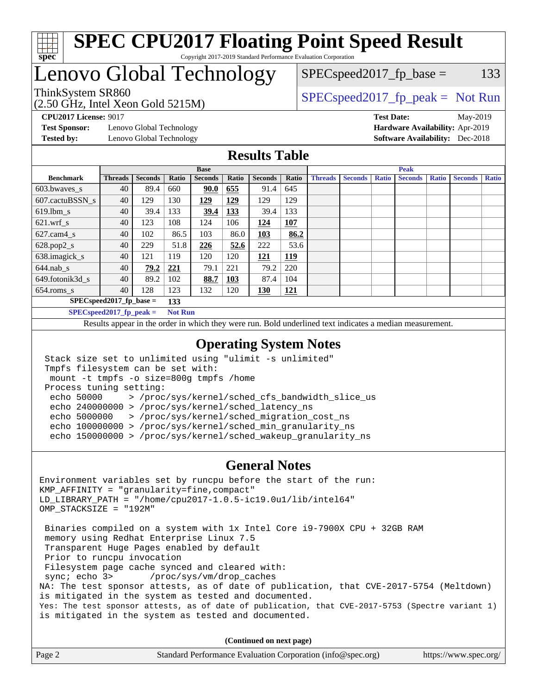

## Lenovo Global Technology

(2.50 GHz, Intel Xeon Gold 5215M)

ThinkSystem SR860<br>  $S$ PECspeed2017\_fp\_peak = Not Run  $SPEC speed2017_fp\_base = 133$ 

**[Test Sponsor:](http://www.spec.org/auto/cpu2017/Docs/result-fields.html#TestSponsor)** Lenovo Global Technology **[Hardware Availability:](http://www.spec.org/auto/cpu2017/Docs/result-fields.html#HardwareAvailability)** Apr-2019 **[Tested by:](http://www.spec.org/auto/cpu2017/Docs/result-fields.html#Testedby)** Lenovo Global Technology **[Software Availability:](http://www.spec.org/auto/cpu2017/Docs/result-fields.html#SoftwareAvailability)** Dec-2018

**[CPU2017 License:](http://www.spec.org/auto/cpu2017/Docs/result-fields.html#CPU2017License)** 9017 **[Test Date:](http://www.spec.org/auto/cpu2017/Docs/result-fields.html#TestDate)** May-2019

### **[Results Table](http://www.spec.org/auto/cpu2017/Docs/result-fields.html#ResultsTable)**

|                                   | <b>Base</b>    |                |                |                |       | <b>Peak</b>    |            |                |                |              |                |              |                |              |
|-----------------------------------|----------------|----------------|----------------|----------------|-------|----------------|------------|----------------|----------------|--------------|----------------|--------------|----------------|--------------|
| <b>Benchmark</b>                  | <b>Threads</b> | <b>Seconds</b> | Ratio          | <b>Seconds</b> | Ratio | <b>Seconds</b> | Ratio      | <b>Threads</b> | <b>Seconds</b> | <b>Ratio</b> | <b>Seconds</b> | <b>Ratio</b> | <b>Seconds</b> | <b>Ratio</b> |
| $603.bwaves$ s                    | 40             | 89.4           | 660            | 90.0           | 655   | 91.4           | 645        |                |                |              |                |              |                |              |
| 607.cactuBSSN s                   | 40             | 129            | 130            | 129            | 129   | 129            | 129        |                |                |              |                |              |                |              |
| $619.$ lbm s                      | 40             | 39.4           | 133            | 39.4           | 133   | 39.4           | 133        |                |                |              |                |              |                |              |
| $621$ .wrf s                      | 40             | 123            | 108            | 124            | 106   | 124            | <u>107</u> |                |                |              |                |              |                |              |
| $627$ .cam $4 \text{ s}$          | 40             | 102            | 86.5           | 103            | 86.0  | 103            | 86.2       |                |                |              |                |              |                |              |
| $628.pop2_s$                      | 40             | 229            | 51.8           | 226            | 52.6  | 222            | 53.6       |                |                |              |                |              |                |              |
| 638.imagick_s                     | 40             | 121            | 119            | 120            | 120   | 121            | 119        |                |                |              |                |              |                |              |
| $644$ .nab s                      | 40             | 79.2           | <u>221</u>     | 79.1           | 221   | 79.2           | 220        |                |                |              |                |              |                |              |
| 649.fotonik3d s                   | 40             | 89.2           | 102            | 88.7           | 103   | 87.4           | 104        |                |                |              |                |              |                |              |
| $654$ .roms s                     | 40             | 128            | 123            | 132            | 120   | 130            | 121        |                |                |              |                |              |                |              |
| $SPEC speed2017$ fp base =<br>133 |                |                |                |                |       |                |            |                |                |              |                |              |                |              |
| $SPECspeed2017_fp\_peak =$        |                |                | <b>Not Run</b> |                |       |                |            |                |                |              |                |              |                |              |

Results appear in the [order in which they were run.](http://www.spec.org/auto/cpu2017/Docs/result-fields.html#RunOrder) Bold underlined text [indicates a median measurement](http://www.spec.org/auto/cpu2017/Docs/result-fields.html#Median).

### **[Operating System Notes](http://www.spec.org/auto/cpu2017/Docs/result-fields.html#OperatingSystemNotes)**

```
 Stack size set to unlimited using "ulimit -s unlimited"
Tmpfs filesystem can be set with:
mount -t tmpfs -o size=800g tmpfs /home
Process tuning setting:
 echo 50000 > /proc/sys/kernel/sched_cfs_bandwidth_slice_us
 echo 240000000 > /proc/sys/kernel/sched_latency_ns
 echo 5000000 > /proc/sys/kernel/sched_migration_cost_ns
 echo 100000000 > /proc/sys/kernel/sched_min_granularity_ns
 echo 150000000 > /proc/sys/kernel/sched_wakeup_granularity_ns
```
#### **[General Notes](http://www.spec.org/auto/cpu2017/Docs/result-fields.html#GeneralNotes)**

Environment variables set by runcpu before the start of the run: KMP\_AFFINITY = "granularity=fine,compact" LD\_LIBRARY\_PATH = "/home/cpu2017-1.0.5-ic19.0u1/lib/intel64" OMP\_STACKSIZE = "192M" Binaries compiled on a system with 1x Intel Core i9-7900X CPU + 32GB RAM memory using Redhat Enterprise Linux 7.5 Transparent Huge Pages enabled by default Prior to runcpu invocation Filesystem page cache synced and cleared with: sync; echo 3> /proc/sys/vm/drop\_caches NA: The test sponsor attests, as of date of publication, that CVE-2017-5754 (Meltdown) is mitigated in the system as tested and documented. Yes: The test sponsor attests, as of date of publication, that CVE-2017-5753 (Spectre variant 1) is mitigated in the system as tested and documented.

**(Continued on next page)**

| Page 2 | Standard Performance Evaluation Corporation (info@spec.org) | https://www.spec.org/ |
|--------|-------------------------------------------------------------|-----------------------|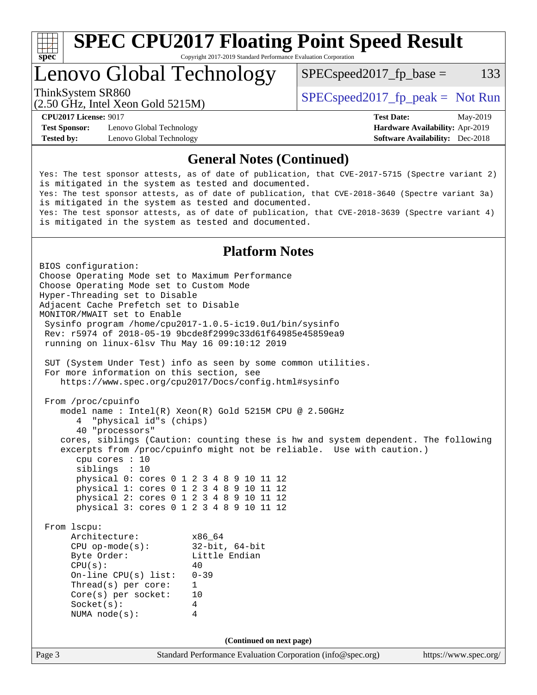

### Lenovo Global Technology

 $SPEC speed2017_fp\_base = 133$ 

(2.50 GHz, Intel Xeon Gold 5215M)

ThinkSystem SR860<br>  $SPEC speed2017<sub>fp</sub> peak = Not Run$ 

**[Test Sponsor:](http://www.spec.org/auto/cpu2017/Docs/result-fields.html#TestSponsor)** Lenovo Global Technology **[Hardware Availability:](http://www.spec.org/auto/cpu2017/Docs/result-fields.html#HardwareAvailability)** Apr-2019 **[Tested by:](http://www.spec.org/auto/cpu2017/Docs/result-fields.html#Testedby)** Lenovo Global Technology **[Software Availability:](http://www.spec.org/auto/cpu2017/Docs/result-fields.html#SoftwareAvailability)** Dec-2018

**[CPU2017 License:](http://www.spec.org/auto/cpu2017/Docs/result-fields.html#CPU2017License)** 9017 **[Test Date:](http://www.spec.org/auto/cpu2017/Docs/result-fields.html#TestDate)** May-2019

### **[General Notes \(Continued\)](http://www.spec.org/auto/cpu2017/Docs/result-fields.html#GeneralNotes)**

Yes: The test sponsor attests, as of date of publication, that CVE-2017-5715 (Spectre variant 2) is mitigated in the system as tested and documented. Yes: The test sponsor attests, as of date of publication, that CVE-2018-3640 (Spectre variant 3a) is mitigated in the system as tested and documented. Yes: The test sponsor attests, as of date of publication, that CVE-2018-3639 (Spectre variant 4) is mitigated in the system as tested and documented.

### **[Platform Notes](http://www.spec.org/auto/cpu2017/Docs/result-fields.html#PlatformNotes)**

Page 3 Standard Performance Evaluation Corporation [\(info@spec.org\)](mailto:info@spec.org) <https://www.spec.org/> BIOS configuration: Choose Operating Mode set to Maximum Performance Choose Operating Mode set to Custom Mode Hyper-Threading set to Disable Adjacent Cache Prefetch set to Disable MONITOR/MWAIT set to Enable Sysinfo program /home/cpu2017-1.0.5-ic19.0u1/bin/sysinfo Rev: r5974 of 2018-05-19 9bcde8f2999c33d61f64985e45859ea9 running on linux-6lsv Thu May 16 09:10:12 2019 SUT (System Under Test) info as seen by some common utilities. For more information on this section, see <https://www.spec.org/cpu2017/Docs/config.html#sysinfo> From /proc/cpuinfo model name : Intel(R) Xeon(R) Gold 5215M CPU @ 2.50GHz 4 "physical id"s (chips) 40 "processors" cores, siblings (Caution: counting these is hw and system dependent. The following excerpts from /proc/cpuinfo might not be reliable. Use with caution.) cpu cores : 10 siblings : 10 physical 0: cores 0 1 2 3 4 8 9 10 11 12 physical 1: cores 0 1 2 3 4 8 9 10 11 12 physical 2: cores 0 1 2 3 4 8 9 10 11 12 physical 3: cores 0 1 2 3 4 8 9 10 11 12 From lscpu: Architecture: x86\_64 CPU op-mode(s): 32-bit, 64-bit Little Endian  $CPU(s):$  40 On-line CPU(s) list: 0-39 Thread(s) per core: 1 Core(s) per socket: 10 Socket(s): 4 NUMA node(s): 4 **(Continued on next page)**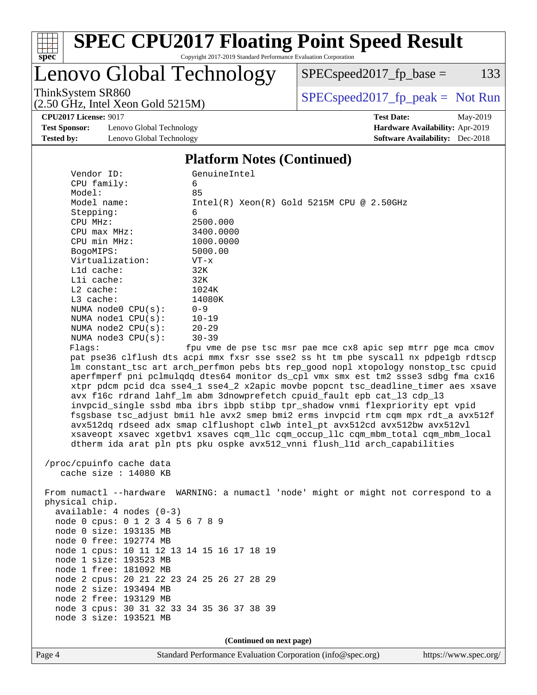

# **[SPEC CPU2017 Floating Point Speed Result](http://www.spec.org/auto/cpu2017/Docs/result-fields.html#SPECCPU2017FloatingPointSpeedResult)**

Copyright 2017-2019 Standard Performance Evaluation Corporation

### Lenovo Global Technology

ThinkSystem SR860<br>  $(2.50 \text{ GHz. Intel Yoon Gold } 5215M)$  [SPECspeed2017\\_fp\\_peak =](http://www.spec.org/auto/cpu2017/Docs/result-fields.html#SPECspeed2017fppeak) Not Run

 $SPEC speed2017_fp\_base = 133$ 

**[CPU2017 License:](http://www.spec.org/auto/cpu2017/Docs/result-fields.html#CPU2017License)** 9017 **[Test Date:](http://www.spec.org/auto/cpu2017/Docs/result-fields.html#TestDate)** May-2019

**[Test Sponsor:](http://www.spec.org/auto/cpu2017/Docs/result-fields.html#TestSponsor)** Lenovo Global Technology **[Hardware Availability:](http://www.spec.org/auto/cpu2017/Docs/result-fields.html#HardwareAvailability)** Apr-2019 **[Tested by:](http://www.spec.org/auto/cpu2017/Docs/result-fields.html#Testedby)** Lenovo Global Technology **[Software Availability:](http://www.spec.org/auto/cpu2017/Docs/result-fields.html#SoftwareAvailability)** Dec-2018

(2.50 GHz, Intel Xeon Gold 5215M)

#### **[Platform Notes \(Continued\)](http://www.spec.org/auto/cpu2017/Docs/result-fields.html#PlatformNotes)**

|  | Vendor ID:                                                                                                                                                                                                                                     | GenuineIntel                                                                         |  |  |  |  |  |
|--|------------------------------------------------------------------------------------------------------------------------------------------------------------------------------------------------------------------------------------------------|--------------------------------------------------------------------------------------|--|--|--|--|--|
|  | CPU family:                                                                                                                                                                                                                                    | 6                                                                                    |  |  |  |  |  |
|  | Model:                                                                                                                                                                                                                                         | 85                                                                                   |  |  |  |  |  |
|  | Model name:                                                                                                                                                                                                                                    | $Intel(R)$ Xeon $(R)$ Gold 5215M CPU @ 2.50GHz                                       |  |  |  |  |  |
|  | Stepping:                                                                                                                                                                                                                                      | 6                                                                                    |  |  |  |  |  |
|  | CPU MHz:                                                                                                                                                                                                                                       | 2500.000                                                                             |  |  |  |  |  |
|  | $CPU$ $max$ $MHz$ :                                                                                                                                                                                                                            | 3400.0000                                                                            |  |  |  |  |  |
|  | CPU min MHz:                                                                                                                                                                                                                                   | 1000.0000                                                                            |  |  |  |  |  |
|  | BogoMIPS:                                                                                                                                                                                                                                      | 5000.00                                                                              |  |  |  |  |  |
|  | Virtualization:                                                                                                                                                                                                                                | $VT - x$                                                                             |  |  |  |  |  |
|  | L1d cache:                                                                                                                                                                                                                                     | 32K                                                                                  |  |  |  |  |  |
|  | $L1i$ cache:                                                                                                                                                                                                                                   | 32K                                                                                  |  |  |  |  |  |
|  | $L2$ cache:                                                                                                                                                                                                                                    | 1024K                                                                                |  |  |  |  |  |
|  | $L3$ cache:                                                                                                                                                                                                                                    | 14080K                                                                               |  |  |  |  |  |
|  | NUMA node0 CPU(s):                                                                                                                                                                                                                             | $0 - 9$                                                                              |  |  |  |  |  |
|  | NUMA nodel CPU(s):                                                                                                                                                                                                                             | $10 - 19$                                                                            |  |  |  |  |  |
|  | NUMA $node2$ $CPU(s)$ :                                                                                                                                                                                                                        | $20 - 29$                                                                            |  |  |  |  |  |
|  | NUMA $node3$ $CPU(s)$ :                                                                                                                                                                                                                        | $30 - 39$                                                                            |  |  |  |  |  |
|  | Flags:                                                                                                                                                                                                                                         | fpu vme de pse tsc msr pae mce cx8 apic sep mtrr pge mca cmov                        |  |  |  |  |  |
|  |                                                                                                                                                                                                                                                | pat pse36 clflush dts acpi mmx fxsr sse sse2 ss ht tm pbe syscall nx pdpelgb rdtscp  |  |  |  |  |  |
|  |                                                                                                                                                                                                                                                | lm constant_tsc art arch_perfmon pebs bts rep_good nopl xtopology nonstop_tsc cpuid  |  |  |  |  |  |
|  |                                                                                                                                                                                                                                                | aperfmperf pni pclmulqdq dtes64 monitor ds_cpl vmx smx est tm2 ssse3 sdbg fma cx16   |  |  |  |  |  |
|  |                                                                                                                                                                                                                                                | xtpr pdcm pcid dca sse4_1 sse4_2 x2apic movbe popcnt tsc_deadline_timer aes xsave    |  |  |  |  |  |
|  | avx f16c rdrand lahf_lm abm 3dnowprefetch cpuid_fault epb cat_13 cdp_13<br>invpcid_single ssbd mba ibrs ibpb stibp tpr_shadow vnmi flexpriority ept vpid<br>fsgsbase tsc adjust bmil hle avx2 smep bmi2 erms invpcid rtm cqm mpx rdt a avx512f |                                                                                      |  |  |  |  |  |
|  |                                                                                                                                                                                                                                                |                                                                                      |  |  |  |  |  |
|  |                                                                                                                                                                                                                                                |                                                                                      |  |  |  |  |  |
|  |                                                                                                                                                                                                                                                | avx512dq rdseed adx smap clflushopt clwb intel_pt avx512cd avx512bw avx512vl         |  |  |  |  |  |
|  |                                                                                                                                                                                                                                                | xsaveopt xsavec xgetbvl xsaves cqm_llc cqm_occup_llc cqm_mbm_total cqm_mbm_local     |  |  |  |  |  |
|  |                                                                                                                                                                                                                                                | dtherm ida arat pln pts pku ospke avx512_vnni flush_lld arch_capabilities            |  |  |  |  |  |
|  | /proc/cpuinfo cache data                                                                                                                                                                                                                       |                                                                                      |  |  |  |  |  |
|  | cache size : 14080 KB                                                                                                                                                                                                                          |                                                                                      |  |  |  |  |  |
|  |                                                                                                                                                                                                                                                |                                                                                      |  |  |  |  |  |
|  |                                                                                                                                                                                                                                                | From numactl --hardware WARNING: a numactl 'node' might or might not correspond to a |  |  |  |  |  |
|  | physical chip.                                                                                                                                                                                                                                 |                                                                                      |  |  |  |  |  |
|  | $available: 4 nodes (0-3)$                                                                                                                                                                                                                     |                                                                                      |  |  |  |  |  |
|  | node 0 cpus: 0 1 2 3 4 5 6 7 8 9                                                                                                                                                                                                               |                                                                                      |  |  |  |  |  |
|  |                                                                                                                                                                                                                                                |                                                                                      |  |  |  |  |  |

node 0 size: 193135 MB

 node 0 free: 192774 MB node 1 cpus: 10 11 12 13 14 15 16 17 18 19

node 1 size: 193523 MB

 node 1 free: 181092 MB node 2 cpus: 20 21 22 23 24 25 26 27 28 29

node 3 size: 193521 MB

 node 2 size: 193494 MB node 2 free: 193129 MB node 3 cpus: 30 31 32 33 34 35 36 37 38 39

**(Continued on next page)**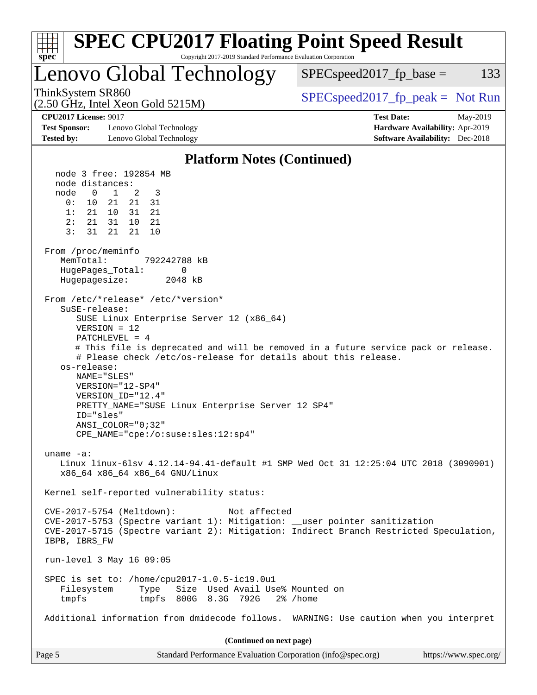| <b>SPEC CPU2017 Floating Point Speed Result</b><br>Copyright 2017-2019 Standard Performance Evaluation Corporation<br>$spec^*$                                                                                                                                                                                                                                                                                                                                                                                                                                                                                                                                                                                                                                                                                                                                                                                                                                                                                                                                                                                                                                                                                                                                                                                                                                                                                                                                                                                                                                        |                                                                                                            |
|-----------------------------------------------------------------------------------------------------------------------------------------------------------------------------------------------------------------------------------------------------------------------------------------------------------------------------------------------------------------------------------------------------------------------------------------------------------------------------------------------------------------------------------------------------------------------------------------------------------------------------------------------------------------------------------------------------------------------------------------------------------------------------------------------------------------------------------------------------------------------------------------------------------------------------------------------------------------------------------------------------------------------------------------------------------------------------------------------------------------------------------------------------------------------------------------------------------------------------------------------------------------------------------------------------------------------------------------------------------------------------------------------------------------------------------------------------------------------------------------------------------------------------------------------------------------------|------------------------------------------------------------------------------------------------------------|
| Lenovo Global Technology                                                                                                                                                                                                                                                                                                                                                                                                                                                                                                                                                                                                                                                                                                                                                                                                                                                                                                                                                                                                                                                                                                                                                                                                                                                                                                                                                                                                                                                                                                                                              | $SPEC speed2017fp base =$<br>133                                                                           |
| ThinkSystem SR860<br>$(2.50 \text{ GHz}, \text{Intel Xeon Gold } 5215 \text{M})$                                                                                                                                                                                                                                                                                                                                                                                                                                                                                                                                                                                                                                                                                                                                                                                                                                                                                                                                                                                                                                                                                                                                                                                                                                                                                                                                                                                                                                                                                      | $SPEC speed2017fr peak = Not Run$                                                                          |
| <b>CPU2017 License: 9017</b><br><b>Test Sponsor:</b><br>Lenovo Global Technology<br><b>Tested by:</b><br>Lenovo Global Technology                                                                                                                                                                                                                                                                                                                                                                                                                                                                                                                                                                                                                                                                                                                                                                                                                                                                                                                                                                                                                                                                                                                                                                                                                                                                                                                                                                                                                                     | <b>Test Date:</b><br>May-2019<br>Hardware Availability: Apr-2019<br><b>Software Availability:</b> Dec-2018 |
| <b>Platform Notes (Continued)</b>                                                                                                                                                                                                                                                                                                                                                                                                                                                                                                                                                                                                                                                                                                                                                                                                                                                                                                                                                                                                                                                                                                                                                                                                                                                                                                                                                                                                                                                                                                                                     |                                                                                                            |
| node 3 free: 192854 MB<br>node distances:<br>$\mathbf{0}$<br>$\overline{1}$<br>2<br>3<br>node<br>0:<br>10<br>21<br>21<br>31<br>1:<br>21 10<br>31<br>21<br>2:<br>21<br>- 31<br>10<br>21<br>3:<br>21<br>31<br>21<br>10<br>From /proc/meminfo<br>MemTotal:<br>792242788 kB<br>HugePages_Total:<br>0<br>Hugepagesize:<br>2048 kB<br>From /etc/*release* /etc/*version*<br>SuSE-release:<br>SUSE Linux Enterprise Server 12 (x86_64)<br>$VERSION = 12$<br>PATCHLEVEL = 4<br># This file is deprecated and will be removed in a future service pack or release.<br># Please check /etc/os-release for details about this release.<br>os-release:<br>NAME="SLES"<br>VERSION="12-SP4"<br>VERSION ID="12.4"<br>PRETTY_NAME="SUSE Linux Enterprise Server 12 SP4"<br>ID="sles"<br>ANSI_COLOR="0;32"<br>CPE_NAME="cpe:/o:suse:sles:12:sp4"<br>uname $-a$ :<br>Linux linux-61sv 4.12.14-94.41-default #1 SMP Wed Oct 31 12:25:04 UTC 2018 (3090901)<br>x86 64 x86 64 x86 64 GNU/Linux<br>Kernel self-reported vulnerability status:<br>CVE-2017-5754 (Meltdown):<br>Not affected<br>CVE-2017-5753 (Spectre variant 1): Mitigation: __user pointer sanitization<br>CVE-2017-5715 (Spectre variant 2): Mitigation: Indirect Branch Restricted Speculation,<br>IBPB, IBRS_FW<br>run-level 3 May 16 09:05<br>SPEC is set to: /home/cpu2017-1.0.5-ic19.0u1<br>Size Used Avail Use% Mounted on<br>Filesystem<br>Type<br>tmpfs 800G 8.3G 792G<br>2% /home<br>tmpfs<br>Additional information from dmidecode follows. WARNING: Use caution when you interpret<br>(Continued on next page) |                                                                                                            |
| Page 5<br>Standard Performance Evaluation Corporation (info@spec.org)                                                                                                                                                                                                                                                                                                                                                                                                                                                                                                                                                                                                                                                                                                                                                                                                                                                                                                                                                                                                                                                                                                                                                                                                                                                                                                                                                                                                                                                                                                 | https://www.spec.org/                                                                                      |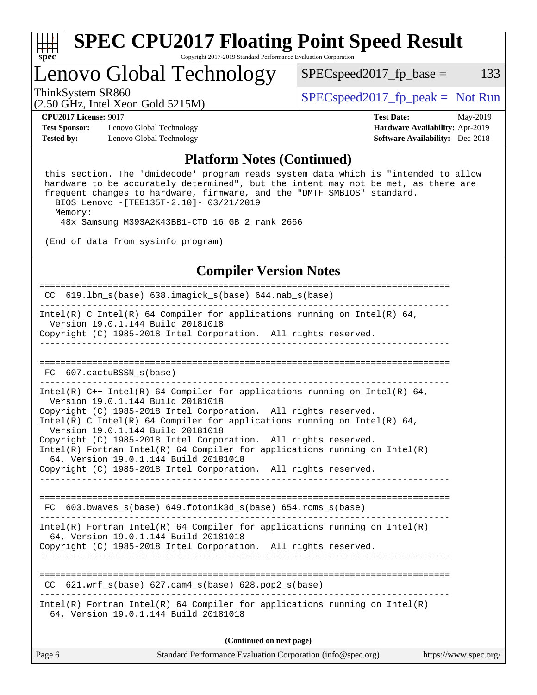

### Lenovo Global Technology

ThinkSystem SR860<br>  $S$ PECspeed2017\_fp\_peak = Not Run

(2.50 GHz, Intel Xeon Gold 5215M)

 $SPEC speed2017_fp\_base = 133$ 

**[Test Sponsor:](http://www.spec.org/auto/cpu2017/Docs/result-fields.html#TestSponsor)** Lenovo Global Technology **[Hardware Availability:](http://www.spec.org/auto/cpu2017/Docs/result-fields.html#HardwareAvailability)** Apr-2019 **[Tested by:](http://www.spec.org/auto/cpu2017/Docs/result-fields.html#Testedby)** Lenovo Global Technology **[Software Availability:](http://www.spec.org/auto/cpu2017/Docs/result-fields.html#SoftwareAvailability)** Dec-2018

**[CPU2017 License:](http://www.spec.org/auto/cpu2017/Docs/result-fields.html#CPU2017License)** 9017 **[Test Date:](http://www.spec.org/auto/cpu2017/Docs/result-fields.html#TestDate)** May-2019

#### **[Platform Notes \(Continued\)](http://www.spec.org/auto/cpu2017/Docs/result-fields.html#PlatformNotes)**

 this section. The 'dmidecode' program reads system data which is "intended to allow hardware to be accurately determined", but the intent may not be met, as there are frequent changes to hardware, firmware, and the "DMTF SMBIOS" standard. BIOS Lenovo -[TEE135T-2.10]- 03/21/2019

Memory:

48x Samsung M393A2K43BB1-CTD 16 GB 2 rank 2666

(End of data from sysinfo program)

### **[Compiler Version Notes](http://www.spec.org/auto/cpu2017/Docs/result-fields.html#CompilerVersionNotes)**

============================================================================== CC  $619.1$ bm s(base)  $638.$ imagick s(base)  $644.$ nab s(base) ------------------------------------------------------------------------------ Intel(R) C Intel(R) 64 Compiler for applications running on Intel(R) 64, Version 19.0.1.144 Build 20181018 Copyright (C) 1985-2018 Intel Corporation. All rights reserved. ------------------------------------------------------------------------------ ============================================================================== FC 607.cactuBSSN\_s(base) ------------------------------------------------------------------------------ Intel(R) C++ Intel(R) 64 Compiler for applications running on Intel(R) 64, Version 19.0.1.144 Build 20181018 Copyright (C) 1985-2018 Intel Corporation. All rights reserved. Intel(R) C Intel(R) 64 Compiler for applications running on Intel(R)  $64$ , Version 19.0.1.144 Build 20181018 Copyright (C) 1985-2018 Intel Corporation. All rights reserved. Intel(R) Fortran Intel(R) 64 Compiler for applications running on Intel(R) 64, Version 19.0.1.144 Build 20181018 Copyright (C) 1985-2018 Intel Corporation. All rights reserved. ------------------------------------------------------------------------------ ============================================================================== FC 603.bwaves\_s(base) 649.fotonik3d\_s(base) 654.roms\_s(base) ------------------------------------------------------------------------------ Intel(R) Fortran Intel(R) 64 Compiler for applications running on Intel(R) 64, Version 19.0.1.144 Build 20181018 Copyright (C) 1985-2018 Intel Corporation. All rights reserved. ------------------------------------------------------------------------------ ============================================================================== CC  $621.wrf$  s(base)  $627.cam4$  s(base) 628.pop2 s(base) ------------------------------------------------------------------------------ Intel(R) Fortran Intel(R) 64 Compiler for applications running on Intel(R) 64, Version 19.0.1.144 Build 20181018

**(Continued on next page)**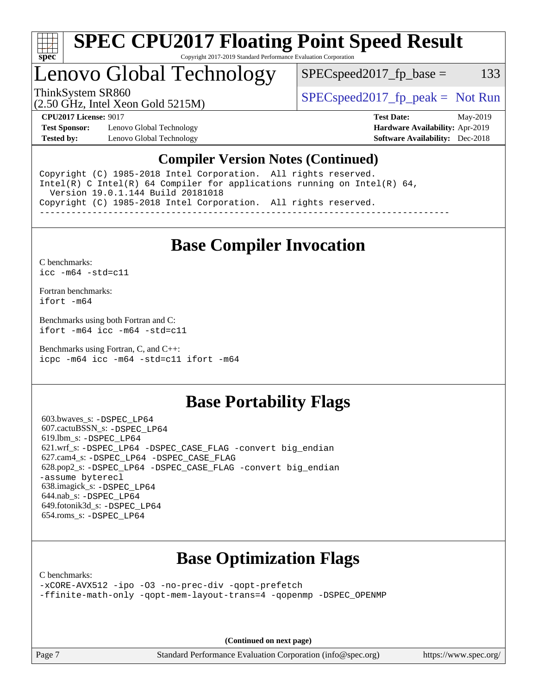

### Lenovo Global Technology

 $SPEC speed2017_fp\_base = 133$ 

(2.50 GHz, Intel Xeon Gold 5215M)

ThinkSystem SR860<br>  $S$ PECspeed2017\_fp\_peak = Not Run

**[Test Sponsor:](http://www.spec.org/auto/cpu2017/Docs/result-fields.html#TestSponsor)** Lenovo Global Technology **[Hardware Availability:](http://www.spec.org/auto/cpu2017/Docs/result-fields.html#HardwareAvailability)** Apr-2019 **[Tested by:](http://www.spec.org/auto/cpu2017/Docs/result-fields.html#Testedby)** Lenovo Global Technology **[Software Availability:](http://www.spec.org/auto/cpu2017/Docs/result-fields.html#SoftwareAvailability)** Dec-2018

**[CPU2017 License:](http://www.spec.org/auto/cpu2017/Docs/result-fields.html#CPU2017License)** 9017 **[Test Date:](http://www.spec.org/auto/cpu2017/Docs/result-fields.html#TestDate)** May-2019

### **[Compiler Version Notes \(Continued\)](http://www.spec.org/auto/cpu2017/Docs/result-fields.html#CompilerVersionNotes)**

Copyright (C) 1985-2018 Intel Corporation. All rights reserved. Intel(R) C Intel(R) 64 Compiler for applications running on Intel(R)  $64$ , Version 19.0.1.144 Build 20181018 Copyright (C) 1985-2018 Intel Corporation. All rights reserved. ------------------------------------------------------------------------------

### **[Base Compiler Invocation](http://www.spec.org/auto/cpu2017/Docs/result-fields.html#BaseCompilerInvocation)**

[C benchmarks](http://www.spec.org/auto/cpu2017/Docs/result-fields.html#Cbenchmarks): [icc -m64 -std=c11](http://www.spec.org/cpu2017/results/res2019q3/cpu2017-20190625-15632.flags.html#user_CCbase_intel_icc_64bit_c11_33ee0cdaae7deeeab2a9725423ba97205ce30f63b9926c2519791662299b76a0318f32ddfffdc46587804de3178b4f9328c46fa7c2b0cd779d7a61945c91cd35)

[Fortran benchmarks](http://www.spec.org/auto/cpu2017/Docs/result-fields.html#Fortranbenchmarks): [ifort -m64](http://www.spec.org/cpu2017/results/res2019q3/cpu2017-20190625-15632.flags.html#user_FCbase_intel_ifort_64bit_24f2bb282fbaeffd6157abe4f878425411749daecae9a33200eee2bee2fe76f3b89351d69a8130dd5949958ce389cf37ff59a95e7a40d588e8d3a57e0c3fd751)

[Benchmarks using both Fortran and C](http://www.spec.org/auto/cpu2017/Docs/result-fields.html#BenchmarksusingbothFortranandC): [ifort -m64](http://www.spec.org/cpu2017/results/res2019q3/cpu2017-20190625-15632.flags.html#user_CC_FCbase_intel_ifort_64bit_24f2bb282fbaeffd6157abe4f878425411749daecae9a33200eee2bee2fe76f3b89351d69a8130dd5949958ce389cf37ff59a95e7a40d588e8d3a57e0c3fd751) [icc -m64 -std=c11](http://www.spec.org/cpu2017/results/res2019q3/cpu2017-20190625-15632.flags.html#user_CC_FCbase_intel_icc_64bit_c11_33ee0cdaae7deeeab2a9725423ba97205ce30f63b9926c2519791662299b76a0318f32ddfffdc46587804de3178b4f9328c46fa7c2b0cd779d7a61945c91cd35)

[Benchmarks using Fortran, C, and C++:](http://www.spec.org/auto/cpu2017/Docs/result-fields.html#BenchmarksusingFortranCandCXX) [icpc -m64](http://www.spec.org/cpu2017/results/res2019q3/cpu2017-20190625-15632.flags.html#user_CC_CXX_FCbase_intel_icpc_64bit_4ecb2543ae3f1412ef961e0650ca070fec7b7afdcd6ed48761b84423119d1bf6bdf5cad15b44d48e7256388bc77273b966e5eb805aefd121eb22e9299b2ec9d9) [icc -m64 -std=c11](http://www.spec.org/cpu2017/results/res2019q3/cpu2017-20190625-15632.flags.html#user_CC_CXX_FCbase_intel_icc_64bit_c11_33ee0cdaae7deeeab2a9725423ba97205ce30f63b9926c2519791662299b76a0318f32ddfffdc46587804de3178b4f9328c46fa7c2b0cd779d7a61945c91cd35) [ifort -m64](http://www.spec.org/cpu2017/results/res2019q3/cpu2017-20190625-15632.flags.html#user_CC_CXX_FCbase_intel_ifort_64bit_24f2bb282fbaeffd6157abe4f878425411749daecae9a33200eee2bee2fe76f3b89351d69a8130dd5949958ce389cf37ff59a95e7a40d588e8d3a57e0c3fd751)

### **[Base Portability Flags](http://www.spec.org/auto/cpu2017/Docs/result-fields.html#BasePortabilityFlags)**

 603.bwaves\_s: [-DSPEC\\_LP64](http://www.spec.org/cpu2017/results/res2019q3/cpu2017-20190625-15632.flags.html#suite_basePORTABILITY603_bwaves_s_DSPEC_LP64) 607.cactuBSSN\_s: [-DSPEC\\_LP64](http://www.spec.org/cpu2017/results/res2019q3/cpu2017-20190625-15632.flags.html#suite_basePORTABILITY607_cactuBSSN_s_DSPEC_LP64) 619.lbm\_s: [-DSPEC\\_LP64](http://www.spec.org/cpu2017/results/res2019q3/cpu2017-20190625-15632.flags.html#suite_basePORTABILITY619_lbm_s_DSPEC_LP64) 621.wrf\_s: [-DSPEC\\_LP64](http://www.spec.org/cpu2017/results/res2019q3/cpu2017-20190625-15632.flags.html#suite_basePORTABILITY621_wrf_s_DSPEC_LP64) [-DSPEC\\_CASE\\_FLAG](http://www.spec.org/cpu2017/results/res2019q3/cpu2017-20190625-15632.flags.html#b621.wrf_s_baseCPORTABILITY_DSPEC_CASE_FLAG) [-convert big\\_endian](http://www.spec.org/cpu2017/results/res2019q3/cpu2017-20190625-15632.flags.html#user_baseFPORTABILITY621_wrf_s_convert_big_endian_c3194028bc08c63ac5d04de18c48ce6d347e4e562e8892b8bdbdc0214820426deb8554edfa529a3fb25a586e65a3d812c835984020483e7e73212c4d31a38223) 627.cam4\_s: [-DSPEC\\_LP64](http://www.spec.org/cpu2017/results/res2019q3/cpu2017-20190625-15632.flags.html#suite_basePORTABILITY627_cam4_s_DSPEC_LP64) [-DSPEC\\_CASE\\_FLAG](http://www.spec.org/cpu2017/results/res2019q3/cpu2017-20190625-15632.flags.html#b627.cam4_s_baseCPORTABILITY_DSPEC_CASE_FLAG) 628.pop2\_s: [-DSPEC\\_LP64](http://www.spec.org/cpu2017/results/res2019q3/cpu2017-20190625-15632.flags.html#suite_basePORTABILITY628_pop2_s_DSPEC_LP64) [-DSPEC\\_CASE\\_FLAG](http://www.spec.org/cpu2017/results/res2019q3/cpu2017-20190625-15632.flags.html#b628.pop2_s_baseCPORTABILITY_DSPEC_CASE_FLAG) [-convert big\\_endian](http://www.spec.org/cpu2017/results/res2019q3/cpu2017-20190625-15632.flags.html#user_baseFPORTABILITY628_pop2_s_convert_big_endian_c3194028bc08c63ac5d04de18c48ce6d347e4e562e8892b8bdbdc0214820426deb8554edfa529a3fb25a586e65a3d812c835984020483e7e73212c4d31a38223) [-assume byterecl](http://www.spec.org/cpu2017/results/res2019q3/cpu2017-20190625-15632.flags.html#user_baseFPORTABILITY628_pop2_s_assume_byterecl_7e47d18b9513cf18525430bbf0f2177aa9bf368bc7a059c09b2c06a34b53bd3447c950d3f8d6c70e3faf3a05c8557d66a5798b567902e8849adc142926523472) 638.imagick\_s: [-DSPEC\\_LP64](http://www.spec.org/cpu2017/results/res2019q3/cpu2017-20190625-15632.flags.html#suite_basePORTABILITY638_imagick_s_DSPEC_LP64) 644.nab\_s: [-DSPEC\\_LP64](http://www.spec.org/cpu2017/results/res2019q3/cpu2017-20190625-15632.flags.html#suite_basePORTABILITY644_nab_s_DSPEC_LP64) 649.fotonik3d\_s: [-DSPEC\\_LP64](http://www.spec.org/cpu2017/results/res2019q3/cpu2017-20190625-15632.flags.html#suite_basePORTABILITY649_fotonik3d_s_DSPEC_LP64) 654.roms\_s: [-DSPEC\\_LP64](http://www.spec.org/cpu2017/results/res2019q3/cpu2017-20190625-15632.flags.html#suite_basePORTABILITY654_roms_s_DSPEC_LP64)

### **[Base Optimization Flags](http://www.spec.org/auto/cpu2017/Docs/result-fields.html#BaseOptimizationFlags)**

[C benchmarks](http://www.spec.org/auto/cpu2017/Docs/result-fields.html#Cbenchmarks):

[-xCORE-AVX512](http://www.spec.org/cpu2017/results/res2019q3/cpu2017-20190625-15632.flags.html#user_CCbase_f-xCORE-AVX512) [-ipo](http://www.spec.org/cpu2017/results/res2019q3/cpu2017-20190625-15632.flags.html#user_CCbase_f-ipo) [-O3](http://www.spec.org/cpu2017/results/res2019q3/cpu2017-20190625-15632.flags.html#user_CCbase_f-O3) [-no-prec-div](http://www.spec.org/cpu2017/results/res2019q3/cpu2017-20190625-15632.flags.html#user_CCbase_f-no-prec-div) [-qopt-prefetch](http://www.spec.org/cpu2017/results/res2019q3/cpu2017-20190625-15632.flags.html#user_CCbase_f-qopt-prefetch) [-ffinite-math-only](http://www.spec.org/cpu2017/results/res2019q3/cpu2017-20190625-15632.flags.html#user_CCbase_f_finite_math_only_cb91587bd2077682c4b38af759c288ed7c732db004271a9512da14a4f8007909a5f1427ecbf1a0fb78ff2a814402c6114ac565ca162485bbcae155b5e4258871) [-qopt-mem-layout-trans=4](http://www.spec.org/cpu2017/results/res2019q3/cpu2017-20190625-15632.flags.html#user_CCbase_f-qopt-mem-layout-trans_fa39e755916c150a61361b7846f310bcdf6f04e385ef281cadf3647acec3f0ae266d1a1d22d972a7087a248fd4e6ca390a3634700869573d231a252c784941a8) [-qopenmp](http://www.spec.org/cpu2017/results/res2019q3/cpu2017-20190625-15632.flags.html#user_CCbase_qopenmp_16be0c44f24f464004c6784a7acb94aca937f053568ce72f94b139a11c7c168634a55f6653758ddd83bcf7b8463e8028bb0b48b77bcddc6b78d5d95bb1df2967) [-DSPEC\\_OPENMP](http://www.spec.org/cpu2017/results/res2019q3/cpu2017-20190625-15632.flags.html#suite_CCbase_DSPEC_OPENMP)

**(Continued on next page)**

Page 7 Standard Performance Evaluation Corporation [\(info@spec.org\)](mailto:info@spec.org) <https://www.spec.org/>